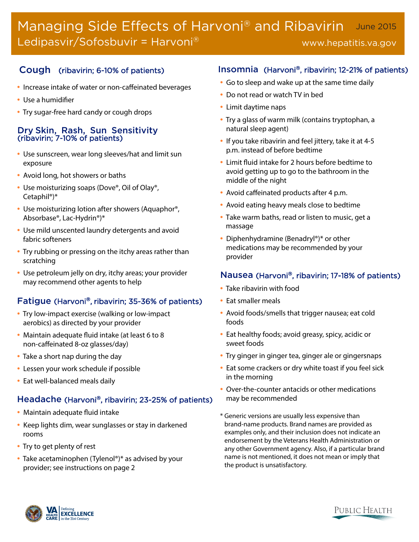#### Managing Side Effects of Harvoni® and Ribavirin Ledipasvir/Sofosbuvir = Harvoni® June 2015 www.hepatitis.va.gov

## Cough (ribavirin; 6-10% of patients)

- Increase intake of water or non-caffeinated beverages
- Use a humidifier
- Try sugar-free hard candy or cough drops

#### Dry Skin, Rash, Sun Sensitivity (ribavirin; 7-10% of patients)

- Use sunscreen, wear long sleeves/hat and limit sun exposure
- Avoid long, hot showers or baths
- Use moisturizing soaps (Dove®, Oil of Olay®, Cetaphil®)\*
- Use moisturizing lotion after showers (Aquaphor®, Absorbase®, Lac-Hydrin®)\*
- Use mild unscented laundry detergents and avoid fabric softeners
- Try rubbing or pressing on the itchy areas rather than scratching
- Use petroleum jelly on dry, itchy areas; your provider may recommend other agents to help

## Fatigue (Harvoni®, ribavirin; 35-36% of patients)

- Try low-impact exercise (walking or low-impact aerobics) as directed by your provider
- Maintain adequate fluid intake (at least 6 to 8 non-caffeinated 8-oz glasses/day)
- Take a short nap during the day
- Lessen your work schedule if possible
- Eat well-balanced meals daily

#### Headache (Harvoni®, ribavirin; 23-25% of patients)

- Maintain adequate fluid intake
- Keep lights dim, wear sunglasses or stay in darkened rooms
- Try to get plenty of rest
- Take acetaminophen (Tylenol®)\* as advised by your provider; see instructions on page 2

## Insomnia (Harvoni®, ribavirin; 12-21% of patients)

- Go to sleep and wake up at the same time daily
- Do not read or watch TV in bed
- Limit daytime naps
- Try a glass of warm milk (contains tryptophan, a natural sleep agent)
- If you take ribavirin and feel jittery, take it at 4-5 p.m. instead of before bedtime
- Limit fluid intake for 2 hours before bedtime to avoid getting up to go to the bathroom in the middle of the night
- Avoid caffeinated products after 4 p.m.
- Avoid eating heavy meals close to bedtime
- Take warm baths, read or listen to music, get a massage
- Diphenhydramine (Benadryl®)\* or other medications may be recommended by your provider

#### Nausea (Harvoni®, ribavirin; 17-18% of patients)

- Take ribavirin with food
- Eat smaller meals
- Avoid foods/smells that trigger nausea; eat cold foods
- Eat healthy foods; avoid greasy, spicy, acidic or sweet foods
- Try ginger in ginger tea, ginger ale or gingersnaps
- Eat some crackers or dry white toast if you feel sick in the morning
- Over-the-counter antacids or other medications may be recommended
- \* Generic versions are usually less expensive than brand-name products. Brand names are provided as examples only, and their inclusion does not indicate an endorsement by the Veterans Health Administration or any other Government agency. Also, if a particular brand name is not mentioned, it does not mean or imply that the product is unsatisfactory.

PUBLIC HEALTH